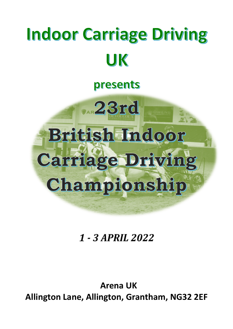# **Indoor Carriage Driving** UK

# presents



# 1 - 3 APRIL 2022

**Arena UK Allington Lane, Allington, Grantham, NG32 2EF**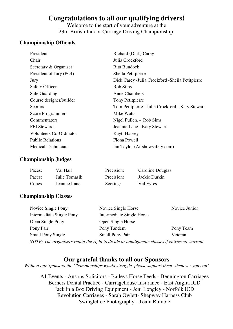# **Congratulations to all our qualifying drivers!**

Welcome to the start of your adventure at the 23rd British Indoor Carriage Driving Championship.

#### **Championship Officials**

| President                      | Richard (Dick) Carey                              |
|--------------------------------|---------------------------------------------------|
| Chair                          | Julia Crockford                                   |
| Secretary & Organiser          | Rita Bundock                                      |
| President of Jury (POJ)        | Sheila Petitpierre                                |
| Jury                           | Dick Carey - Julia Crockford - Sheila Petitpierre |
| <b>Safety Officer</b>          | Rob Sims                                          |
| <b>Safe Guarding</b>           | <b>Anne Chambers</b>                              |
| Course designer/builder        | Tony Petitpierre                                  |
| <b>Scorers</b>                 | Tom Petitpierre - Julia Crockford - Katy Stewart  |
| <b>Score Programmer</b>        | Mike Watts                                        |
| Commentators                   | Nigel Pullen. - Rob Sims                          |
| <b>FEI</b> Stewards            | Jeannie Lane - Katy Stewart                       |
| <b>Volunteers Co-Ordinator</b> | Kayti Harvey                                      |
| <b>Public Relations</b>        | Fiona Powell                                      |
| Medical Technician             | Ian Taylor (Airshowsafety.com)                    |

#### **Championship Judges**

| Paces: | Val Hall      | Precision: | Caroline Douglas |
|--------|---------------|------------|------------------|
| Paces: | Julie Tomasik | Precision: | Jackie Durkin    |
| Cones  | Jeannie Lane  | Scoring:   | Val Eyres        |

#### **Championship Classes**

| Novice Single Pony       | Novice Single Horse                                                                         | Novice Junior |
|--------------------------|---------------------------------------------------------------------------------------------|---------------|
| Intermediate Single Pony | Intermediate Single Horse                                                                   |               |
| Open Single Pony         | Open Single Horse                                                                           |               |
| Pony Pair                | Pony Tandem                                                                                 | Pony Team     |
| <b>Small Pony Single</b> | <b>Small Pony Pair</b>                                                                      | Veteran       |
|                          | NOTE: The organisers retain the right to divide or amalgamate classes if entries so warrant |               |

#### **Our grateful thanks to all our Sponsors**

*Without our Sponsors the Championships would struggle, please support them whenever you can!* 

A1 Events - Ansons Solicitors - Baileys Horse Feeds - Bennington Carriages Berners Dental Practice - Carriagehouse Insurance - East Anglia ICD Jack in a Box Driving Equipment - Jeni Longley - Norfolk ICD Revolution Carriages - Sarah Owlett- Shepway Harness Club Swingletree Photography - Team Rumble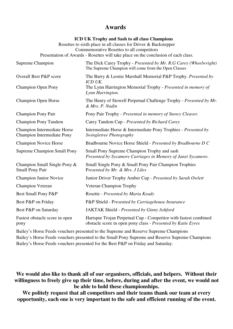#### **Awards**

#### **ICD UK Trophy and Sash to all class Champions**

Rosettes to sixth place in all classes for Driver & Backstepper Commemorative Rosettes to all competitors Presentation of Awards - Rosettes will take place on the conclusion of each class.

| Supreme Champion                                          | The Dick Carey Trophy - Presented by Mr. R.G Carey (Wheelwright)<br>The Supreme Champion will come from the Open Classes         |
|-----------------------------------------------------------|----------------------------------------------------------------------------------------------------------------------------------|
| <b>Overall Best P&amp;P score</b>                         | The Barry & Leonie Marshall Memorial P&P Trophy. Presented by<br>ICD UK.                                                         |
| <b>Champion Open Pony</b>                                 | The Lynn Harrington Memorial Trophy - Presented in memory of<br>Lynn Harrington.                                                 |
| <b>Champion Open Horse</b>                                | The Henry of Stowell Perpetual Challenge Trophy - Presented by Mr.<br>& Mrs. P. Nadin                                            |
| <b>Champion Pony Pair</b>                                 | Pony Pair Trophy - Presented in memory of Snowy Cleaver.                                                                         |
| <b>Champion Pony Tandem</b>                               | Carey Tandem Cup - Presented by Richard Carey                                                                                    |
| Champion Intermediate Horse<br>Champion Intermediate Pony | Intermediate Horse & Intermediate Pony Trophies - Presented by<br>Swingletree Photography                                        |
| <b>Champion Novice Horse</b>                              | Bradbourne Novice Horse Shield - Presented by Bradbourne D C                                                                     |
| <b>Supreme Champion Small Pony</b>                        | Small Pony Supreme Champion Trophy and sash<br>Presented by Sycamore Carriages in Memory of Janet Sycamore.                      |
| Champion Small Single Pony &<br><b>Small Pony Pair</b>    | Small Single Pony & Small Pony Pair Champion Trophies<br>Presented by Mr. & Mrs. J Liles                                         |
| <b>Champion Junior Novice</b>                             | Junior Driver Trophy Amber Cup - Presented by Sarah Owlett                                                                       |
| <b>Champion Veteran</b>                                   | <b>Veteran Champion Trophy</b>                                                                                                   |
| Best Small Pony P&P                                       | Rosette - Presented by Maria Keady                                                                                               |
| Best P&P on Friday                                        | P&P Shield - Presented by Carriagehouse Insurance                                                                                |
| Best P&P on Saturday                                      | JAKTAK Shield - Presented by Ginny Ashford                                                                                       |
| Fastest obstacle score in open<br>pony                    | Hartspur Trojan Perpetual Cup - Competitor with fastest combined<br>obstacle score in open pony class - Presented by Katie Eyres |

Bailey's Horse Feeds vouchers presented to the Supreme and Reserve Supreme Champions Bailey's Horse Feeds vouchers presented to the Small Pony Supreme and Reserve Supreme Champions Bailey's Horse Feeds vouchers presented for the Best P&P on Friday and Saturday.

**We would also like to thank all of our organisers, officials, and helpers. Without their willingness to freely give up their time, before, during and after the event, we would not be able to hold these championships.** 

**We politely request that all competitors and their teams thank our team at every opportunity, each one is very important to the safe and efficient running of the event.**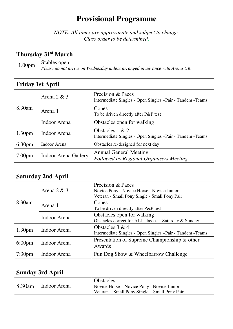# **Provisional Programme**

*NOTE: All times are approximate and subject to change. Class order to be determined.*

|           | Thursday 31 <sup>st</sup> March                                            |
|-----------|----------------------------------------------------------------------------|
| $1.00$ pm | Stables open                                                               |
|           | Please do not arrive on Wednesday unless arranged in advance with Arena UK |
|           |                                                                            |

| <b>Friday 1st April</b> |                             |                                                                                  |  |
|-------------------------|-----------------------------|----------------------------------------------------------------------------------|--|
|                         | Arena $2 & 3$               | Precision & Paces<br>Intermediate Singles - Open Singles - Pair - Tandem - Teams |  |
| $8.30$ am               | Arena 1                     | Cones<br>To be driven directly after P&P test                                    |  |
|                         | Indoor Arena                | Obstacles open for walking                                                       |  |
| 1.30 <sub>pm</sub>      | <b>Indoor Arena</b>         | Obstacles $1 & 2$<br>Intermediate Singles - Open Singles - Pair - Tandem - Teams |  |
| 6:30 <sub>pm</sub>      | Indoor Arena                | Obstacles re-designed for next day                                               |  |
| 7.00 <sub>pm</sub>      | <b>Indoor Arena Gallery</b> | <b>Annual General Meeting</b><br><b>Followed by Regional Organisers Meeting</b>  |  |

| <b>Saturday 2nd April</b> |               |                                                                                                                  |  |
|---------------------------|---------------|------------------------------------------------------------------------------------------------------------------|--|
|                           | Arena $2 & 3$ | Precision & Paces<br>Novice Pony - Novice Horse - Novice Junior<br>Veteran - Small Pony Single - Small Pony Pair |  |
| 8.30am                    | Arena 1       | Cones<br>To be driven directly after P&P test                                                                    |  |
|                           | Indoor Arena  | Obstacles open for walking<br>Obstacles correct for ALL classes - Saturday & Sunday                              |  |
| 1.30 <sub>pm</sub>        | Indoor Arena  | Obstacles $3 & 4$<br>Intermediate Singles - Open Singles - Pair - Tandem - Teams                                 |  |
| $6:00 \text{pm}$          | Indoor Arena  | Presentation of Supreme Championship & other<br>Awards                                                           |  |
| 7:30 <sub>pm</sub>        | Indoor Arena  | Fun Dog Show & Wheelbarrow Challenge                                                                             |  |

| <b>Sunday 3rd April</b> |              |                                                                                                                 |  |
|-------------------------|--------------|-----------------------------------------------------------------------------------------------------------------|--|
| 8.30am                  | Indoor Arena | <b>Obstacles</b><br>Novice Horse – Novice Pony - Novice Junior<br>Veteran - Small Pony Single - Small Pony Pair |  |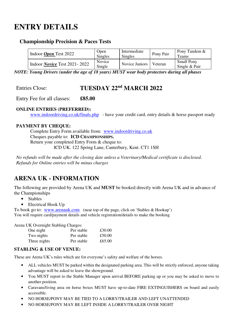# **ENTRY DETAILS**

#### **Championship Precision & Paces Tests**

| Indoor <i>Open</i> Test 2022          | Open<br><b>Singles</b>  | Intermediate<br>Singles | Pony Pair | Pony Tandem &<br><b>Teams</b>      |
|---------------------------------------|-------------------------|-------------------------|-----------|------------------------------------|
| Indoor <i>Novice</i> Test 2021 - 2022 | <b>Novice</b><br>Single | Novice Juniors          | Veteran   | <b>Small Pony</b><br>Single & Pair |

*NOTE: Young Drivers (under the age of 18 years) MUST wear body protectors during all phases* 

### Entries Close: **TUESDAY 22<sup>nd</sup> MARCH 2022**

Entry Fee for all classes: **£85.00** 

#### **ONLINE ENTRIES (PREFERRED):**

www.indoordriving.co.uk/finals.php - have your credit card, entry details & horse passport ready

#### **PAYMENT BY CHEQUE:**

Complete Entry Form available from: www.indoordriving.co.uk Cheques payable to: **ICD CHAMPIONSHIPS.**  Return your completed Entry Form & cheque to: ICD UK. 122 Spring Lane, Canterbury, Kent. CT1 1SH

*No refunds will be made after the closing date unless a Veterinary/Medical certificate is disclosed. Refunds for Online entries will be minus charges*

## **ARENA UK - INFORMATION**

The following are provided by Arena UK and **MUST** be booked directly with Arena UK and in advance of the Championships

- Stables
- Electrical Hook Up

To book go to: www.arenauk.com (near top of the page, click on 'Stables & Hookup') You will require card/payment details and vehicle registration/details to make the booking

Arena UK Overnight Stabling Charges:

| One night    | Per stable | £30.00 |
|--------------|------------|--------|
| Two nights   | Per stable | £50.00 |
| Three nights | Per stable | £65.00 |

#### **STABLING & USE OF VENUE:**

These are Arena UK's rules which are for everyone's safety and welfare of the horses.

- ALL vehicles MUST be parked within the designated parking area. This will be strictly enforced, anyone taking advantage will be asked to leave the showground.
- You MUST report to the Stable Manager upon arrival BEFORE parking up or you may be asked to move to another position.
- Caravans/living area on horse boxes MUST have up-to-date FIRE EXTINGUISHERS on board and easily accessible.
- NO HORSE/PONY MAY BE TIED TO A LORRY/TRAILER AND LEFT UNATTENDED
- NO HORSE/PONY MAY BE LEFT INSIDE A LORRY/TRAILER OVER NIGHT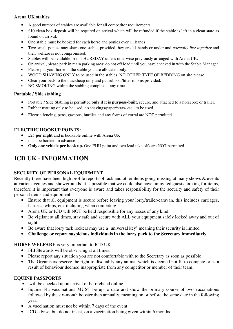#### **Arena UK stables**

- A good number of stables are available for all competitor requirements.
- $\pounds$ 10 clean box deposit will be required on arrival which will be refunded if the stable is left in a clean state as found on arrival.
- One stable must be booked for each horse and ponies over 11 hands
- Two small ponies may share one stable, provided they are 11 hands or under and *normally live together* and their welfare is not compromised.
- Stables will be available from THURSDAY unless otherwise previously arranged with Arena UK.
- On arrival, please park in main parking area; do not off load until you have checked in with the Stable Manager.
- Please put your horse in the stable you are allocated only.
- WOOD SHAVING ONLY to be used in the stables. NO OTHER TYPE OF BEDDING on site please.
- Clear your beds to the muckheap only and put rubbish/litter in bins provided.
- NO SMOKING within the stabling complex at any time.

#### **Portable / Side stabling**

- Portable / Side Stabling is permitted **only if it is purpose-built**, secure, and attached to a horsebox or trailer.
- Rubber matting only to be used, no shavings/paper/straw etc., to be used.
- Electric fencing, pens, gazebos, hurdles and any forms of corral are NOT permitted

#### **ELECTRIC HOOKUP POINTS:**

- £25 **per night** and is bookable online with Arena UK
- must be booked in advance
- **Only one vehicle per hook up.** One EHU point and two lead take offs are NOT permitted.

### **ICD UK - INFORMATION**

#### **SECURITY OF PERSONAL EQUIPMENT**

Recently there have been high profile reports of tack and other items going missing at many shows & events at various venues and showgrounds. It is possible that we could also have uninvited guests looking for items, therefore it is important that everyone is aware and takes responsibility for the security and safety of their personal items and equipment.

- Ensure that all equipment is secure before leaving your lorry/trailer/caravan, this includes carriages, harness, whips, etc. including when competing.
- Arena UK or ICD will NOT be held responsible for any losses of any kind.
- Be vigilant at all times, stay safe and secure with ALL your equipment safely locked away and out of sight.
- Be aware that lorry tack lockers may use a 'universal key' meaning their security is limited
- **Challenge or report suspicious individuals in the lorry park to the Secretary immediately**

#### **HORSE WELFARE** is very important to ICD UK.

- FEI Stewards will be observing at all times.
- Please report any situation you are not comfortable with to the Secretary as soon as possible
- The Organisers reserve the right to disqualify any animal which is deemed not fit to compete or as a result of behaviour deemed inappropriate from any competitor or member of their team.

#### **EQUINE PASSPORTS**

- will be checked upon arrival or beforehand online
- Equine Flu vaccinations MUST be up to date and show the primary course of two vaccinations followed by the six-month booster then annually, meaning on or before the same date in the following year.
- A vaccination must not be within 7 days of the event.
- ICD advise, but do not insist, on a vaccination being given within 6 months.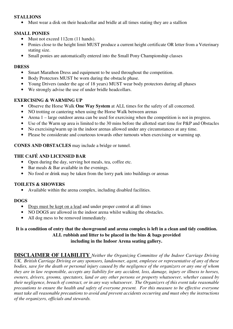#### **STALLIONS**

• Must wear a disk on their headcollar and bridle at all times stating they are a stallion

#### **SMALL PONIES**

- Must not exceed 112cm (11 hands).
- Ponies close to the height limit MUST produce a current height certificate OR letter from a Veterinary stating size.
- Small ponies are automatically entered into the Small Pony Championship classes

#### **DRESS**

- Smart Marathon Dress and equipment to be used throughout the competition.
- Body Protectors MUST be worn during the obstacle phase.
- Young Drivers (under the age of 18 years) MUST wear body protectors during all phases
- We strongly advise the use of under bridle headcollars.

#### **EXERCISING & WARMING UP**

- Observe the Horse Walk **One Way System** at ALL times for the safety of all concerned.
- NO trotting or cantering when using the Horse Walk between arenas
- Arena 1 large outdoor arena can be used for exercising when the competition is not in progress.
- Use of the Warm up area is limited to the 30 mins before the allotted start time for P&P and Obstacles
- No exercising/warm up in the indoor arenas allowed under any circumstances at any time.
- Please be considerate and courteous towards other turnouts when exercising or warming up.

**CONES AND OBSTACLES** may include a bridge or tunnel.

#### **THE CAFÉ AND LICENSED BAR**

- Open during the day, serving hot meals, tea, coffee etc.
- Bar meals & Bar available in the evenings.
- No food or drink may be taken from the lorry park into buildings or arenas

#### **TOILETS & SHOWERS**

• Available within the arena complex, including disabled facilities.

#### **DOGS**

- Dogs must be kept on a lead and under proper control at all times
- NO DOGS are allowed in the indoor arena whilst walking the obstacles.
- All dog mess to be removed immediately.

#### **It is a condition of entry that the showground and arena complex is left in a clean and tidy condition. ALL rubbish and litter to be placed in the bins & bags provided including in the Indoor Arena seating gallery.**

**DISCLAIMER OF LIABILITY** *Neither the Organizing Committee of the Indoor Carriage Driving UK, British Carriage Driving or any sponsors, landowner, agent, employee or representative of any of these bodies, save for the death or personal injury caused by the negligence of the organizers or any one of whom they are in law responsible, accepts any liability for any accident, loss, damage, injury or illness to horses, owners, drivers, grooms, spectators, land or any other persons or property whatsoever, whether caused by their negligence, breach of contract, or in any way whatsoever. The Organizers of this event take reasonable precautions to ensure the health and safety of everyone present. For this measure to be effective everyone must take all reasonable precautions to avoid and prevent accidents occurring and must obey the instructions of the organizers, officials and stewards.*